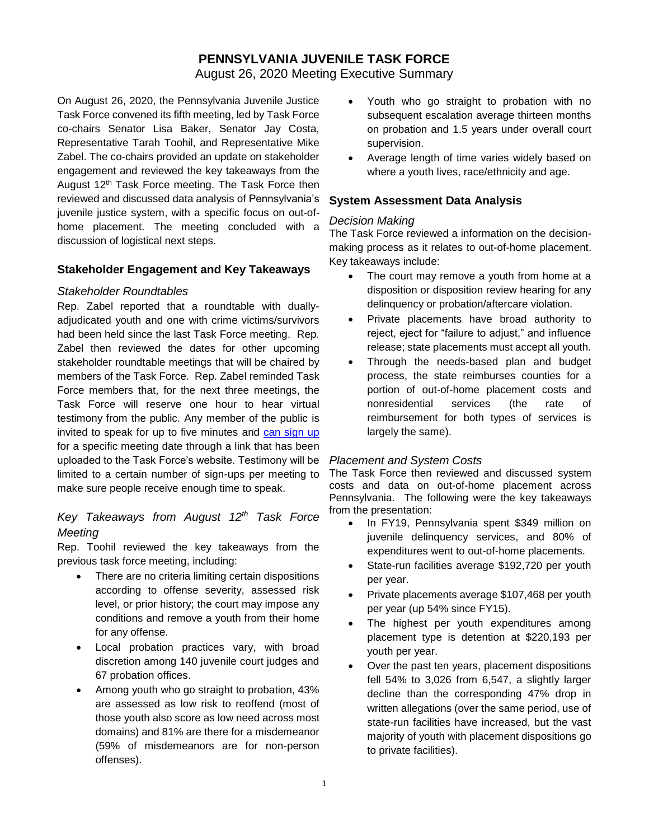# **PENNSYLVANIA JUVENILE TASK FORCE**

August 26, 2020 Meeting Executive Summary

On August 26, 2020, the Pennsylvania Juvenile Justice Task Force convened its fifth meeting, led by Task Force co-chairs Senator Lisa Baker, Senator Jay Costa, Representative Tarah Toohil, and Representative Mike Zabel. The co-chairs provided an update on stakeholder engagement and reviewed the key takeaways from the August 12<sup>th</sup> Task Force meeting. The Task Force then reviewed and discussed data analysis of Pennsylvania's juvenile justice system, with a specific focus on out-ofhome placement. The meeting concluded with a discussion of logistical next steps.

### **Stakeholder Engagement and Key Takeaways**

#### *Stakeholder Roundtables*

Rep. Zabel reported that a roundtable with duallyadjudicated youth and one with crime victims/survivors had been held since the last Task Force meeting. Rep. Zabel then reviewed the dates for other upcoming stakeholder roundtable meetings that will be chaired by members of the Task Force. Rep. Zabel reminded Task Force members that, for the next three meetings, the Task Force will reserve one hour to hear virtual testimony from the public. Any member of the public is invited to speak for up to five minutes and [can sign up](https://surveys.az1.qualtrics.com/jfe/form/SV_6r2DP3xhZym8oE5) for a specific meeting date through a link that has been uploaded to the Task Force's website. Testimony will be limited to a certain number of sign-ups per meeting to make sure people receive enough time to speak.

# *Key Takeaways from August 12th Task Force Meeting*

Rep. Toohil reviewed the key takeaways from the previous task force meeting, including:

- There are no criteria limiting certain dispositions according to offense severity, assessed risk level, or prior history; the court may impose any conditions and remove a youth from their home for any offense.
- Local probation practices vary, with broad discretion among 140 juvenile court judges and 67 probation offices.
- Among youth who go straight to probation, 43% are assessed as low risk to reoffend (most of those youth also score as low need across most domains) and 81% are there for a misdemeanor (59% of misdemeanors are for non-person offenses).
- Youth who go straight to probation with no subsequent escalation average thirteen months on probation and 1.5 years under overall court supervision.
- Average length of time varies widely based on where a youth lives, race/ethnicity and age.

### **System Assessment Data Analysis**

#### *Decision Making*

The Task Force reviewed a information on the decisionmaking process as it relates to out-of-home placement. Key takeaways include:

- The court may remove a youth from home at a disposition or disposition review hearing for any delinquency or probation/aftercare violation.
- Private placements have broad authority to reject, eject for "failure to adjust," and influence release; state placements must accept all youth.
- Through the needs-based plan and budget process, the state reimburses counties for a portion of out-of-home placement costs and nonresidential services (the rate of reimbursement for both types of services is largely the same).

### *Placement and System Costs*

The Task Force then reviewed and discussed system costs and data on out-of-home placement across Pennsylvania. The following were the key takeaways from the presentation:

- In FY19, Pennsylvania spent \$349 million on juvenile delinquency services, and 80% of expenditures went to out-of-home placements.
- State-run facilities average \$192,720 per youth per year.
- Private placements average \$107,468 per youth per year (up 54% since FY15).
- The highest per youth expenditures among placement type is detention at \$220,193 per youth per year.
- Over the past ten years, placement dispositions fell 54% to 3,026 from 6,547, a slightly larger decline than the corresponding 47% drop in written allegations (over the same period, use of state-run facilities have increased, but the vast majority of youth with placement dispositions go to private facilities).